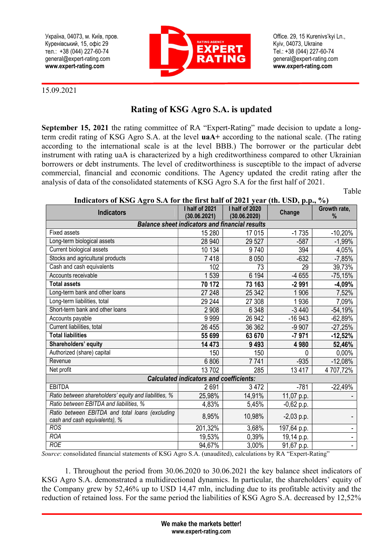Україна, 04073, м. Київ, пров. Куренівський, 15, офіс 29 тел.: +38 (044) 227-60-74 general@expert-rating.com www.expert-rating.com



Office. 29, 15 Kurenivs'kyi Ln., Kyiv, 04073, Ukraine Tеl.: +38 (044) 227-60-74 general@expert-rating.com www.expert-rating.com

15.09.2021

## Rating of KSG Agro S.A. is updated

September 15, 2021 the rating committee of RA "Expert-Rating" made decision to update a longterm credit rating of KSG Agro S.A. at the level uaА+ according to the national scale. (The rating according to the international scale is at the level ВВВ.) The borrower or the particular debt instrument with rating uaА is characterized by a high creditworthiness compared to other Ukrainian borrowers or debt instruments. The level of creditworthiness is susceptible to the impact of adverse commercial, financial and economic conditions. The Agency updated the credit rating after the analysis of data of the consolidated statements of KSG Agro S.A for the first half of 2021.

Table

## Indicators of KSG Agro S.A for the first half of 2021 year (th. USD, p.p., %)

| <b>Indicators</b>                                                                | I half of 2021<br>(30.06.2021) | I half of 2020<br>(30.06.2020) | Change       | Growth rate,<br>% |
|----------------------------------------------------------------------------------|--------------------------------|--------------------------------|--------------|-------------------|
| <b>Balance sheet indicators and financial results</b>                            |                                |                                |              |                   |
| Fixed assets                                                                     | 15 280                         | 17015                          | $-1735$      | $-10,20%$         |
| Long-term biological assets                                                      | 28 940                         | 29 5 27                        | $-587$       | $-1,99%$          |
| Current biological assets                                                        | 10 134                         | 9740                           | 394          | 4,05%             |
| Stocks and agricultural products                                                 | 7418                           | 8 0 5 0                        | $-632$       | $-7,85%$          |
| Cash and cash equivalents                                                        | 102                            | 73                             | 29           | 39,73%            |
| Accounts receivable                                                              | 1539                           | 6 1 9 4                        | $-4655$      | $-75,15%$         |
| <b>Total assets</b>                                                              | 70 172                         | 73 163                         | $-2991$      | $-4,09%$          |
| Long-term bank and other loans                                                   | 27 248                         | 25 342                         | 1 906        | 7,52%             |
| Long-term liabilities, total                                                     | 29 244                         | 27 308                         | 1936         | 7,09%             |
| Short-term bank and other loans                                                  | 2 9 0 8                        | 6 3 4 8                        | $-3440$      | $-54,19%$         |
| Accounts payable                                                                 | 9999                           | 26 942                         | $-16943$     | $-62,89%$         |
| Current liabilities, total                                                       | 26 455                         | 36 362                         | $-9907$      | $-27,25%$         |
| <b>Total liabilities</b>                                                         | 55 699                         | 63 670                         | $-7971$      | $-12,52%$         |
| Shareholders' equity                                                             | 14 473                         | 9 4 9 3                        | 4980         | 52,46%            |
| Authorized (share) capital                                                       | 150                            | 150                            | 0            | 0,00%             |
| Revenue                                                                          | 6 8 0 6                        | 7741                           | $-935$       | $-12,08%$         |
| Net profit                                                                       | 13702                          | 285                            | 13417        | 4707,72%          |
| <b>Calculated indicators and coefficients:</b>                                   |                                |                                |              |                   |
| <b>EBITDA</b>                                                                    | 2691                           | 3 4 7 2                        | $-781$       | $-22,49%$         |
| Ratio between shareholders' equity and liabilities, %                            | 25,98%                         | 14,91%                         | 11,07 p.p.   |                   |
| Ratio between EBITDA and liabilities, %                                          | 4,83%                          | 5,45%                          | $-0,62$ p.p. |                   |
| Ratio between EBITDA and total loans (excluding<br>cash and cash equivalents), % | 8,95%                          | 10,98%                         | $-2,03$ p.p. |                   |
| <b>ROS</b>                                                                       | 201,32%                        | 3,68%                          | 197,64 p.p.  |                   |
| <b>ROA</b>                                                                       | 19,53%                         | 0,39%                          | 19,14 p.p.   |                   |
| <b>ROE</b>                                                                       | 94,67%                         | 3,00%                          | 91,67 p.p.   | ä,                |

Source: consolidated financial statements of KSG Agro S.A. (unaudited), calculations by RA "Expert-Rating"

1. Throughout the period from 30.06.2020 to 30.06.2021 the key balance sheet indicators of KSG Agro S.A. demonstrated a multidirectional dynamics. In particular, the shareholders' equity of the Company grew by 52,46% up to USD 14,47 mln, including due to its profitable activity and the reduction of retained loss. For the same period the liabilities of KSG Agro S.A. decreased by 12,52%